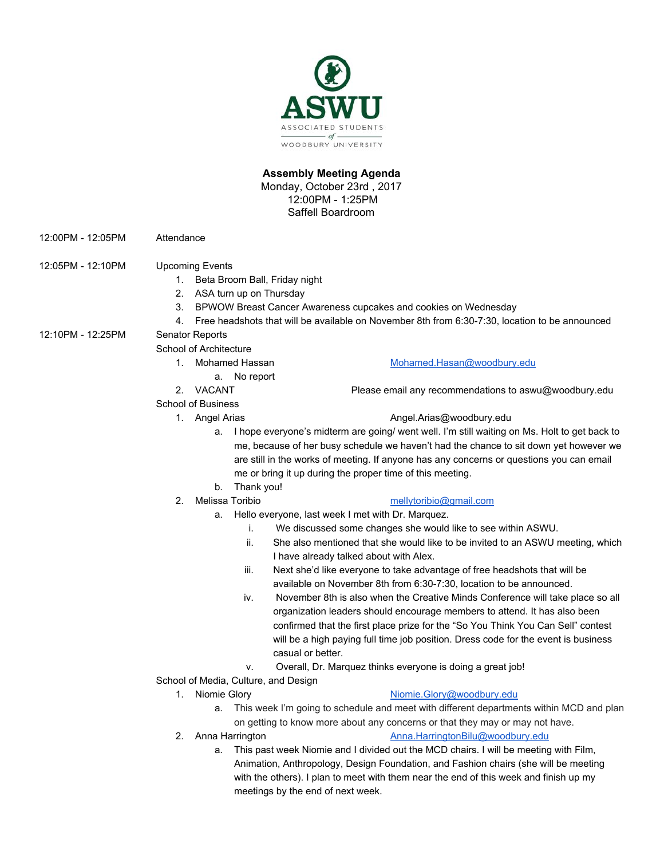

# **Assembly Meeting Agenda**

Monday, October 23rd , 2017 12:00PM - 1:25PM Saffell Boardroom

- 12:00PM 12:05PM Attendance
- 12:05PM 12:10PM Upcoming Events
	- 1. Beta Broom Ball, Friday night
	- 2. ASA turn up on Thursday
	- 3. BPWOW Breast Cancer Awareness cupcakes and cookies on Wednesday
	- 4. Free headshots that will be available on November 8th from 6:30-7:30, location to be announced

### 12:10PM - 12:25PM Senator Reports

School of Architecture

- 1. Mohamed Hassan [Mohamed.Hasan@woodbury.edu](mailto:Mohamed.Hasan@woodbury.edu)
	- a. No report
	-

#### School of Business

# 2. VACANT Please email any recommendations to aswu@woodbury.edu

### 1. Angel Arias [Angel.Arias@woodbury.edu](mailto:Angel.Arias@woodbury.edu)

- a. I hope everyone's midterm are going/ went well. I'm still waiting on Ms. Holt to get back to me, because of her busy schedule we haven't had the chance to sit down yet however we are still in the works of meeting. If anyone has any concerns or questions you can email me or bring it up during the proper time of this meeting.
- b. Thank you!
- 

# 2. Melissa Toribio [mellytoribio@gmail.com](mailto:mellytoribio@gmail.com)

- a. Hello everyone, last week I met with Dr. Marquez.
	- i. We discussed some changes she would like to see within ASWU.
	- ii. She also mentioned that she would like to be invited to an ASWU meeting, which I have already talked about with Alex.
	- iii. Next she'd like everyone to take advantage of free headshots that will be available on November 8th from 6:30-7:30, location to be announced.
	- iv. November 8th is also when the Creative Minds Conference will take place so all organization leaders should encourage members to attend. It has also been confirmed that the first place prize for the "So You Think You Can Sell" contest will be a high paying full time job position. Dress code for the event is business casual or better.
	- v. Overall, Dr. Marquez thinks everyone is doing a great job!
- School of Media, Culture, and Design
	-

#### 1. Niomie Glory **[Niomie.Glory@woodbury.edu](mailto:Niomie.Glory@woodbury.edu)**

- a. This week I'm going to schedule and meet with different departments within MCD and plan on getting to know more about any concerns or that they may or may not have.
- 
- 2. Anna Harrington **[Anna.HarringtonBilu@woodbury.edu](mailto:Anna.HarringtonBilu@woodbury.edu)** 
	- a. This past week Niomie and I divided out the MCD chairs. I will be meeting with Film, Animation, Anthropology, Design Foundation, and Fashion chairs (she will be meeting with the others). I plan to meet with them near the end of this week and finish up my meetings by the end of next week.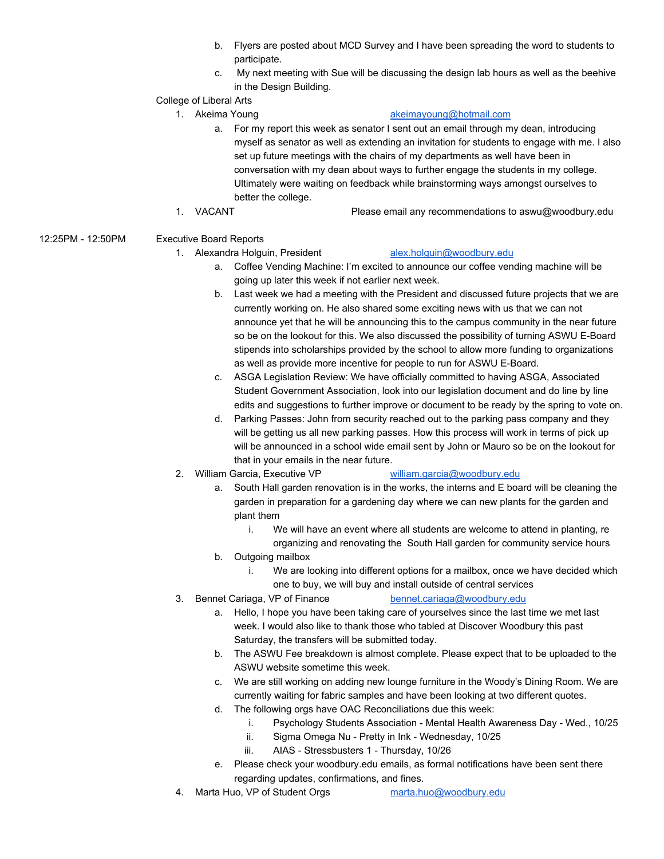- b. Flyers are posted about MCD Survey and I have been spreading the word to students to participate.
- c. My next meeting with Sue will be discussing the design lab hours as well as the beehive in the Design Building.

# College of Liberal Arts

### 1. Akeima Young [akeimayoung@hotmail.com](mailto:akeimayoung@hotmail.com)

- a. For my report this week as senator I sent out an email through my dean, introducing myself as senator as well as extending an invitation for students to engage with me. I also set up future meetings with the chairs of my departments as well have been in conversation with my dean about ways to further engage the students in my college. Ultimately were waiting on feedback while brainstorming ways amongst ourselves to better the college.
- 1. VACANT Please email any recommendations to aswu@woodbury.edu

# 12:25PM - 12:50PM Executive Board Reports

# 1. Alexandra Holguin, President [alex.holguin@woodbury.edu](mailto:alex.holguin@woodbury.edu)

- a. Coffee Vending Machine: I'm excited to announce our coffee vending machine will be going up later this week if not earlier next week.
- b. Last week we had a meeting with the President and discussed future projects that we are currently working on. He also shared some exciting news with us that we can not announce yet that he will be announcing this to the campus community in the near future so be on the lookout for this. We also discussed the possibility of turning ASWU E-Board stipends into scholarships provided by the school to allow more funding to organizations as well as provide more incentive for people to run for ASWU E-Board.
- c. ASGA Legislation Review: We have officially committed to having ASGA, Associated Student Government Association, look into our legislation document and do line by line edits and suggestions to further improve or document to be ready by the spring to vote on.
- d. Parking Passes: John from security reached out to the parking pass company and they will be getting us all new parking passes. How this process will work in terms of pick up will be announced in a school wide email sent by John or Mauro so be on the lookout for that in your emails in the near future.

# 2. William Garcia, Executive VP [william.garcia@woodbury.edu](mailto:william.garcia@woodbury.edu)

- a. South Hall garden renovation is in the works, the interns and E board will be cleaning the garden in preparation for a gardening day where we can new plants for the garden and plant them
	- i. We will have an event where all students are welcome to attend in planting, re organizing and renovating the South Hall garden for community service hours
- b. Outgoing mailbox
	- i. We are looking into different options for a mailbox, once we have decided which one to buy, we will buy and install outside of central services
- 

# 3. Bennet Cariaga, VP of Finance [bennet.cariaga@woodbury.edu](mailto:bennet.cariaga@woodbury.edu)

- a. Hello, I hope you have been taking care of yourselves since the last time we met last week. I would also like to thank those who tabled at Discover Woodbury this past Saturday, the transfers will be submitted today.
- b. The ASWU Fee breakdown is almost complete. Please expect that to be uploaded to the ASWU website sometime this week.
- c. We are still working on adding new lounge furniture in the Woody's Dining Room. We are currently waiting for fabric samples and have been looking at two different quotes.
- d. The following orgs have OAC Reconciliations due this week:
	- i. Psychology Students Association Mental Health Awareness Day Wed., 10/25
	- ii. Sigma Omega Nu Pretty in Ink Wednesday, 10/25
	- iii. AIAS Stressbusters 1 Thursday, 10/26
- e. Please check your woodbury.edu emails, as formal notifications have been sent there regarding updates, confirmations, and fines.
- 4. Marta Huo, VP of Student Orgs [marta.huo@woodbury.edu](mailto:marta.huo@woodbury.edu)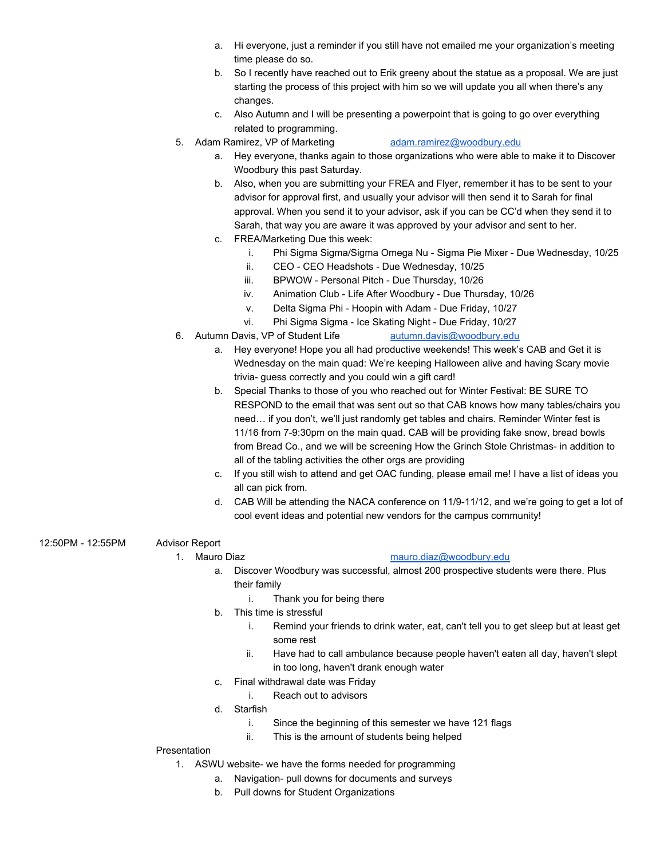- a. Hi everyone, just a reminder if you still have not emailed me your organization's meeting time please do so.
- b. So I recently have reached out to Erik greeny about the statue as a proposal. We are just starting the process of this project with him so we will update you all when there's any changes.
- c. Also Autumn and I will be presenting a powerpoint that is going to go over everything related to programming.
- 5. Adam Ramirez, VP of Marketing [adam.ramirez@woodbury.edu](mailto:adam.ramirez@woodbury.edu)
	- a. Hey everyone, thanks again to those organizations who were able to make it to Discover Woodbury this past Saturday.
	- b. Also, when you are submitting your FREA and Flyer, remember it has to be sent to your advisor for approval first, and usually your advisor will then send it to Sarah for final approval. When you send it to your advisor, ask if you can be CC'd when they send it to Sarah, that way you are aware it was approved by your advisor and sent to her.
	- c. FREA/Marketing Due this week:
		- i. Phi Sigma Sigma/Sigma Omega Nu Sigma Pie Mixer Due Wednesday, 10/25
		- ii. CEO CEO Headshots Due Wednesday, 10/25
		- iii. BPWOW Personal Pitch Due Thursday, 10/26
		- iv. Animation Club Life After Woodbury Due Thursday, 10/26
		- v. Delta Sigma Phi Hoopin with Adam Due Friday, 10/27
		- vi. Phi Sigma Sigma Ice Skating Night Due Friday, 10/27
- 6. Autumn Davis, VP of Student Life [autumn.davis@woodbury.edu](mailto:autumn.davis@woodbury.edu)
	- a. Hey everyone! Hope you all had productive weekends! This week's CAB and Get it is Wednesday on the main quad: We're keeping Halloween alive and having Scary movie trivia- guess correctly and you could win a gift card!
	- b. Special Thanks to those of you who reached out for Winter Festival: BE SURE TO RESPOND to the email that was sent out so that CAB knows how many tables/chairs you need… if you don't, we'll just randomly get tables and chairs. Reminder Winter fest is 11/16 from 7-9:30pm on the main quad. CAB will be providing fake snow, bread bowls from Bread Co., and we will be screening How the Grinch Stole Christmas- in addition to all of the tabling activities the other orgs are providing
	- c. If you still wish to attend and get OAC funding, please email me! I have a list of ideas you all can pick from.
	- d. CAB Will be attending the NACA conference on 11/9-11/12, and we're going to get a lot of cool event ideas and potential new vendors for the campus community!
- 12:50PM 12:55PM Advisor Report

#### 1. Mauro Diaz [mauro.diaz@woodbury.edu](mailto:mauro.diaz@woodbury.edu)

- a. Discover Woodbury was successful, almost 200 prospective students were there. Plus their family
	- i. Thank you for being there
- b. This time is stressful
	- i. Remind your friends to drink water, eat, can't tell you to get sleep but at least get some rest
	- ii. Have had to call ambulance because people haven't eaten all day, haven't slept in too long, haven't drank enough water
- c. Final withdrawal date was Friday
	- i. Reach out to advisors
- d. Starfish
	- i. Since the beginning of this semester we have 121 flags
	- ii. This is the amount of students being helped

# Presentation

- 1. ASWU website- we have the forms needed for programming
	- a. Navigation- pull downs for documents and surveys
	- b. Pull downs for Student Organizations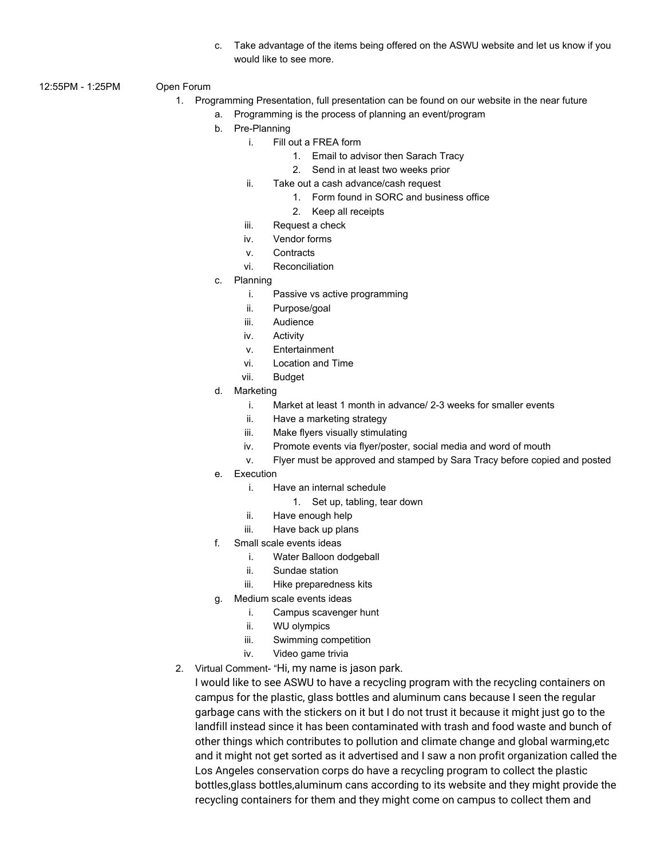- c. Take advantage of the items being offered on the ASWU website and let us know if you would like to see more.
- 12:55PM 1:25PM Open Forum
	- 1. Programming Presentation, full presentation can be found on our website in the near future
		- a. Programming is the process of planning an event/program
		- b. Pre-Planning
			- i. Fill out a FREA form
				- 1. Email to advisor then Sarach Tracy
				- 2. Send in at least two weeks prior
			- ii. Take out a cash advance/cash request
				- 1. Form found in SORC and business office
				- 2. Keep all receipts
			- iii. Request a check
			- iv. Vendor forms
			- v. Contracts
			- vi. Reconciliation
		- c. Planning
			- i. Passive vs active programming
			- ii. Purpose/goal
			- iii. Audience
			- iv. Activity
			- v. Entertainment
			- vi. Location and Time
			- vii. Budget
		- d. Marketing
			- i. Market at least 1 month in advance/ 2-3 weeks for smaller events
			- ii. Have a marketing strategy
			- iii. Make flyers visually stimulating
			- iv. Promote events via flyer/poster, social media and word of mouth
			- v. Flyer must be approved and stamped by Sara Tracy before copied and posted
		- e. Execution
			- i. Have an internal schedule
				- 1. Set up, tabling, tear down
			- ii. Have enough help
			- iii. Have back up plans
		- f. Small scale events ideas
			- i. Water Balloon dodgeball
			- ii. Sundae station
			- iii. Hike preparedness kits
		- g. Medium scale events ideas
			- i. Campus scavenger hunt
			- ii. WU olympics
			- iii. Swimming competition
			- iv. Video game trivia
	- 2. Virtual Comment- "Hi, my name is jason park.

I would like to see ASWU to have a recycling program with the recycling containers on campus for the plastic, glass bottles and aluminum cans because I seen the regular garbage cans with the stickers on it but I do not trust it because it might just go to the landfill instead since it has been contaminated with trash and food waste and bunch of other things which contributes to pollution and climate change and global warming,etc and it might not get sorted as it advertised and I saw a non profit organization called the Los Angeles conservation corps do have a recycling program to collect the plastic bottles,glass bottles,aluminum cans according to its website and they might provide the recycling containers for them and they might come on campus to collect them and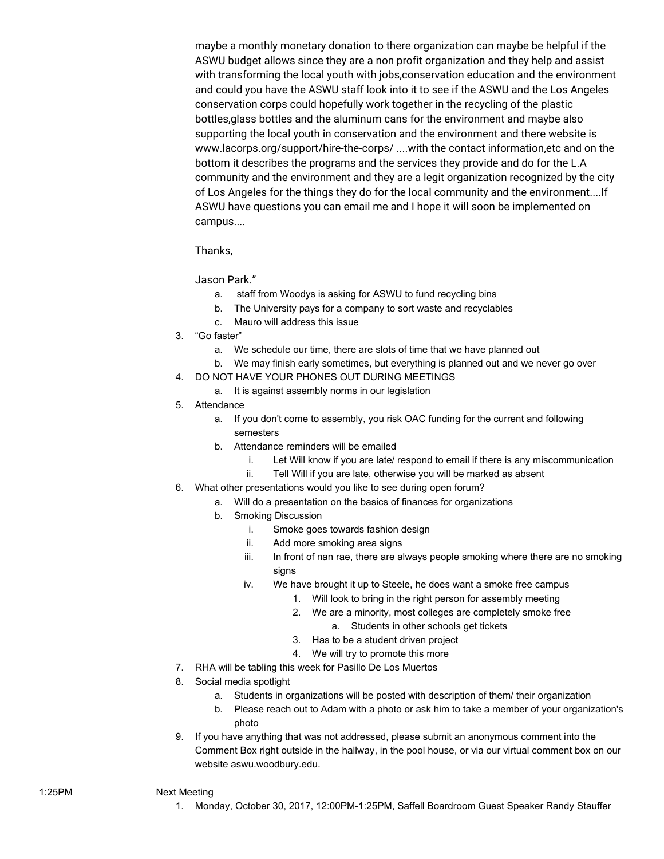maybe a monthly monetary donation to there organization can maybe be helpful if the ASWU budget allows since they are a non profit organization and they help and assist with transforming the local youth with jobs,conservation education and the environment and could you have the ASWU staff look into it to see if the ASWU and the Los Angeles conservation corps could hopefully work together in the recycling of the plastic bottles,glass bottles and the aluminum cans for the environment and maybe also supporting the local youth in conservation and the environment and there website is www.lacorps.org/support/hire-the-corps/ ....with the contact information,etc and on the bottom it describes the programs and the services they provide and do for the L.A community and the environment and they are a legit organization recognized by the city of Los Angeles for the things they do for the local community and the environment....If ASWU have questions you can email me and I hope it will soon be implemented on campus....

Thanks,

Jason Park."

- a. staff from Woodys is asking for ASWU to fund recycling bins
- b. The University pays for a company to sort waste and recyclables
- c. Mauro will address this issue
- 3. "Go faster"
	- a. We schedule our time, there are slots of time that we have planned out
	- b. We may finish early sometimes, but everything is planned out and we never go over
- 4. DO NOT HAVE YOUR PHONES OUT DURING MEETINGS
	- a. It is against assembly norms in our legislation
- 5. Attendance
	- a. If you don't come to assembly, you risk OAC funding for the current and following semesters
	- b. Attendance reminders will be emailed
		- i. Let Will know if you are late/ respond to email if there is any miscommunication
		- ii. Tell Will if you are late, otherwise you will be marked as absent
- 6. What other presentations would you like to see during open forum?
	- a. Will do a presentation on the basics of finances for organizations
	- b. Smoking Discussion
		- i. Smoke goes towards fashion design
		- ii. Add more smoking area signs
		- iii. In front of nan rae, there are always people smoking where there are no smoking signs
		- iv. We have brought it up to Steele, he does want a smoke free campus
			- 1. Will look to bring in the right person for assembly meeting
			- 2. We are a minority, most colleges are completely smoke free a. Students in other schools get tickets
				-
			- 3. Has to be a student driven project
			- 4. We will try to promote this more
- 7. RHA will be tabling this week for Pasillo De Los Muertos
- 8. Social media spotlight
	- a. Students in organizations will be posted with description of them/ their organization
	- b. Please reach out to Adam with a photo or ask him to take a member of your organization's photo
- 9. If you have anything that was not addressed, please submit an anonymous comment into the Comment Box right outside in the hallway, in the pool house, or via our virtual comment box on our website aswu.woodbury.edu.

#### 1:25PM Next Meeting

1. Monday, October 30, 2017, 12:00PM-1:25PM, Saffell Boardroom Guest Speaker Randy Stauffer